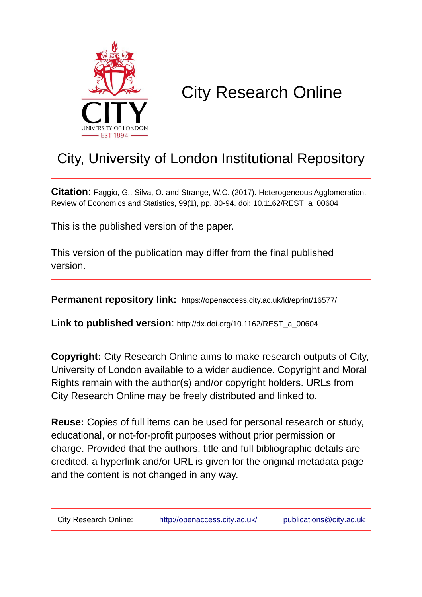

# City Research Online

## City, University of London Institutional Repository

**Citation**: Faggio, G., Silva, O. and Strange, W.C. (2017). Heterogeneous Agglomeration. Review of Economics and Statistics, 99(1), pp. 80-94. doi: 10.1162/REST\_a\_00604

This is the published version of the paper.

This version of the publication may differ from the final published version.

**Permanent repository link:** https://openaccess.city.ac.uk/id/eprint/16577/

**Link to published version:** http://dx.doi.org/10.1162/REST\_a\_00604

**Copyright:** City Research Online aims to make research outputs of City, University of London available to a wider audience. Copyright and Moral Rights remain with the author(s) and/or copyright holders. URLs from City Research Online may be freely distributed and linked to.

**Reuse:** Copies of full items can be used for personal research or study, educational, or not-for-profit purposes without prior permission or charge. Provided that the authors, title and full bibliographic details are credited, a hyperlink and/or URL is given for the original metadata page and the content is not changed in any way.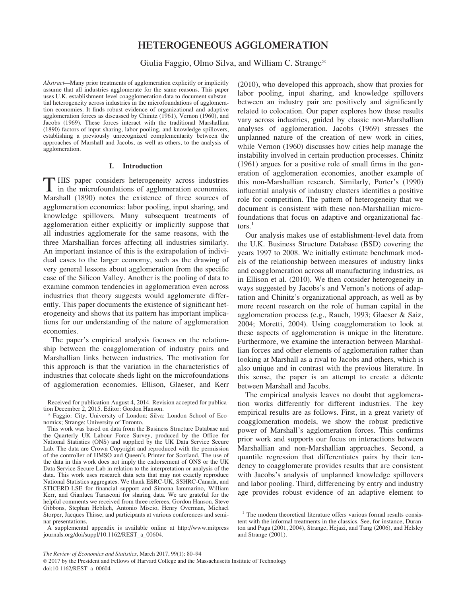### HETEROGENEOUS AGGLOMERATION

Giulia Faggio, Olmo Silva, and William C. Strange\*

Abstract—Many prior treatments of agglomeration explicitly or implicitly assume that all industries agglomerate for the same reasons. This paper uses U.K. establishment-level coagglomeration data to document substantial heterogeneity across industries in the microfoundations of agglomeration economies. It finds robust evidence of organizational and adaptive agglomeration forces as discussed by Chinitz (1961), Vernon (1960), and Jacobs (1969). These forces interact with the traditional Marshallian (1890) factors of input sharing, labor pooling, and knowledge spillovers, establishing a previously unrecognized complementarity between the approaches of Marshall and Jacobs, as well as others, to the analysis of agglomeration.

#### I. Introduction

T HIS paper considers heterogeneity across industries in the microfoundations of agglomeration economies. Marshall (1890) notes the existence of three sources of agglomeration economies: labor pooling, input sharing, and knowledge spillovers. Many subsequent treatments of agglomeration either explicitly or implicitly suppose that all industries agglomerate for the same reasons, with the three Marshallian forces affecting all industries similarly. An important instance of this is the extrapolation of individual cases to the larger economy, such as the drawing of very general lessons about agglomeration from the specific case of the Silicon Valley. Another is the pooling of data to examine common tendencies in agglomeration even across industries that theory suggests would agglomerate differently. This paper documents the existence of significant heterogeneity and shows that its pattern has important implications for our understanding of the nature of agglomeration economies.

The paper's empirical analysis focuses on the relationship between the coagglomeration of industry pairs and Marshallian links between industries. The motivation for this approach is that the variation in the characteristics of industries that colocate sheds light on the microfoundations of agglomeration economies. Ellison, Glaeser, and Kerr

\* Faggio: City, University of London; Silva: London School of Economics; Strange: University of Toronto.

A supplemental appendix is available online at http://www.mitpress journals.org/doi/suppl/10.1162/REST\_a\_00604.

(2010), who developed this approach, show that proxies for labor pooling, input sharing, and knowledge spillovers between an industry pair are positively and significantly related to colocation. Our paper explores how these results vary across industries, guided by classic non-Marshallian analyses of agglomeration. Jacobs (1969) stresses the unplanned nature of the creation of new work in cities, while Vernon (1960) discusses how cities help manage the instability involved in certain production processes. Chinitz (1961) argues for a positive role of small firms in the generation of agglomeration economies, another example of this non-Marshallian research. Similarly, Porter's (1990) influential analysis of industry clusters identifies a positive role for competition. The pattern of heterogeneity that we document is consistent with these non-Marshallian microfoundations that focus on adaptive and organizational fac $tors.<sup>1</sup>$ 

Our analysis makes use of establishment-level data from the U.K. Business Structure Database (BSD) covering the years 1997 to 2008. We initially estimate benchmark models of the relationship between measures of industry links and coagglomeration across all manufacturing industries, as in Ellison et al. (2010). We then consider heterogeneity in ways suggested by Jacobs's and Vernon's notions of adaptation and Chinitz's organizational approach, as well as by more recent research on the role of human capital in the agglomeration process (e.g., Rauch, 1993; Glaeser & Saiz, 2004; Moretti, 2004). Using coagglomeration to look at these aspects of agglomeration is unique in the literature. Furthermore, we examine the interaction between Marshallian forces and other elements of agglomeration rather than looking at Marshall as a rival to Jacobs and others, which is also unique and in contrast with the previous literature. In this sense, the paper is an attempt to create a détente between Marshall and Jacobs.

The empirical analysis leaves no doubt that agglomeration works differently for different industries. The key empirical results are as follows. First, in a great variety of coagglomeration models, we show the robust predictive power of Marshall's agglomeration forces. This confirms prior work and supports our focus on interactions between Marshallian and non-Marshallian approaches. Second, a quantile regression that differentiates pairs by their tendency to coagglomerate provides results that are consistent with Jacobs's analysis of unplanned knowledge spillovers and labor pooling. Third, differencing by entry and industry age provides robust evidence of an adaptive element to

Received for publication August 4, 2014. Revision accepted for publication December 2, 2015. Editor: Gordon Hanson.

This work was based on data from the Business Structure Database and the Quarterly UK Labour Force Survey, produced by the Office for National Statistics (ONS) and supplied by the UK Data Service Secure Lab. The data are Crown Copyright and reproduced with the permission of the controller of HMSO and Queen's Printer for Scotland. The use of the data in this work does not imply the endorsement of ONS or the UK Data Service Secure Lab in relation to the interpretation or analysis of the data. This work uses research data sets that may not exactly reproduce National Statistics aggregates. We thank ESRC-UK, SSHRC-Canada, and STICERD-LSE for financial support and Simona Iammarino, William Kerr, and Gianluca Tarasconi for sharing data. We are grateful for the helpful comments we received from three referees, Gordon Hanson, Steve Gibbons, Stephan Heblich, Antonio Miscio, Henry Overman, Michael Storper, Jacques Thisse, and participants at various conferences and seminar presentations.

<sup>&</sup>lt;sup>1</sup> The modern theoretical literature offers various formal results consistent with the informal treatments in the classics. See, for instance, Duranton and Puga (2001, 2004), Strange, Hejazi, and Tang (2006), and Helsley and Strange (2001).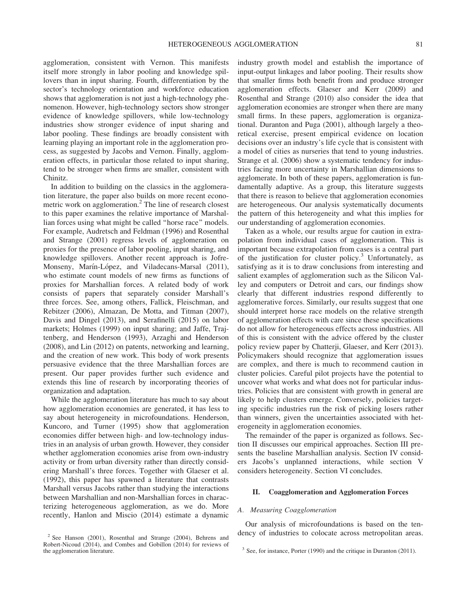agglomeration, consistent with Vernon. This manifests itself more strongly in labor pooling and knowledge spillovers than in input sharing. Fourth, differentiation by the sector's technology orientation and workforce education shows that agglomeration is not just a high-technology phenomenon. However, high-technology sectors show stronger evidence of knowledge spillovers, while low-technology industries show stronger evidence of input sharing and labor pooling. These findings are broadly consistent with learning playing an important role in the agglomeration process, as suggested by Jacobs and Vernon. Finally, agglomeration effects, in particular those related to input sharing, tend to be stronger when firms are smaller, consistent with Chinitz.

In addition to building on the classics in the agglomeration literature, the paper also builds on more recent econometric work on agglomeration.<sup>2</sup> The line of research closest to this paper examines the relative importance of Marshallian forces using what might be called ''horse race'' models. For example, Audretsch and Feldman (1996) and Rosenthal and Strange (2001) regress levels of agglomeration on proxies for the presence of labor pooling, input sharing, and knowledge spillovers. Another recent approach is Jofre-Monseny, Marín-López, and Viladecans-Marsal (2011), who estimate count models of new firms as functions of proxies for Marshallian forces. A related body of work consists of papers that separately consider Marshall's three forces. See, among others, Fallick, Fleischman, and Rebitzer (2006), Almazan, De Motta, and Titman (2007), Davis and Dingel (2013), and Serafinelli (2015) on labor markets; Holmes (1999) on input sharing; and Jaffe, Trajtenberg, and Henderson (1993), Arzaghi and Henderson (2008), and Lin (2012) on patents, networking and learning, and the creation of new work. This body of work presents persuasive evidence that the three Marshallian forces are present. Our paper provides further such evidence and extends this line of research by incorporating theories of organization and adaptation.

While the agglomeration literature has much to say about how agglomeration economies are generated, it has less to say about heterogeneity in microfoundations. Henderson, Kuncoro, and Turner (1995) show that agglomeration economies differ between high- and low-technology industries in an analysis of urban growth. However, they consider whether agglomeration economies arise from own-industry activity or from urban diversity rather than directly considering Marshall's three forces. Together with Glaeser et al. (1992), this paper has spawned a literature that contrasts Marshall versus Jacobs rather than studying the interactions between Marshallian and non-Marshallian forces in characterizing heterogeneous agglomeration, as we do. More recently, Hanlon and Miscio (2014) estimate a dynamic industry growth model and establish the importance of input-output linkages and labor pooling. Their results show that smaller firms both benefit from and produce stronger agglomeration effects. Glaeser and Kerr (2009) and Rosenthal and Strange (2010) also consider the idea that agglomeration economies are stronger when there are many small firms. In these papers, agglomeration is organizational. Duranton and Puga (2001), although largely a theoretical exercise, present empirical evidence on location decisions over an industry's life cycle that is consistent with a model of cities as nurseries that tend to young industries. Strange et al. (2006) show a systematic tendency for industries facing more uncertainty in Marshallian dimensions to agglomerate. In both of these papers, agglomeration is fundamentally adaptive. As a group, this literature suggests that there is reason to believe that agglomeration economies are heterogeneous. Our analysis systematically documents the pattern of this heterogeneity and what this implies for our understanding of agglomeration economies.

Taken as a whole, our results argue for caution in extrapolation from individual cases of agglomeration. This is important because extrapolation from cases is a central part of the justification for cluster policy.<sup>3</sup> Unfortunately, as satisfying as it is to draw conclusions from interesting and salient examples of agglomeration such as the Silicon Valley and computers or Detroit and cars, our findings show clearly that different industries respond differently to agglomerative forces. Similarly, our results suggest that one should interpret horse race models on the relative strength of agglomeration effects with care since these specifications do not allow for heterogeneous effects across industries. All of this is consistent with the advice offered by the cluster policy review paper by Chatterji, Glaeser, and Kerr (2013). Policymakers should recognize that agglomeration issues are complex, and there is much to recommend caution in cluster policies. Careful pilot projects have the potential to uncover what works and what does not for particular industries. Policies that are consistent with growth in general are likely to help clusters emerge. Conversely, policies targeting specific industries run the risk of picking losers rather than winners, given the uncertainties associated with heterogeneity in agglomeration economies.

The remainder of the paper is organized as follows. Section II discusses our empirical approaches. Section III presents the baseline Marshallian analysis. Section IV considers Jacobs's unplanned interactions, while section V considers heterogeneity. Section VI concludes.

#### II. Coagglomeration and Agglomeration Forces

#### A. Measuring Coagglomeration

Our analysis of microfoundations is based on the ten-<sup>2</sup> See Hanson (2001), Rosenthal and Strange (2004), Behrens and dency of industries to colocate across metropolitan areas.

Robert-Nicoud (2014), and Combes and Gobillon (2014) for reviews of

 $\frac{3}{3}$  See, for instance, Porter (1990) and the critique in Duranton (2011).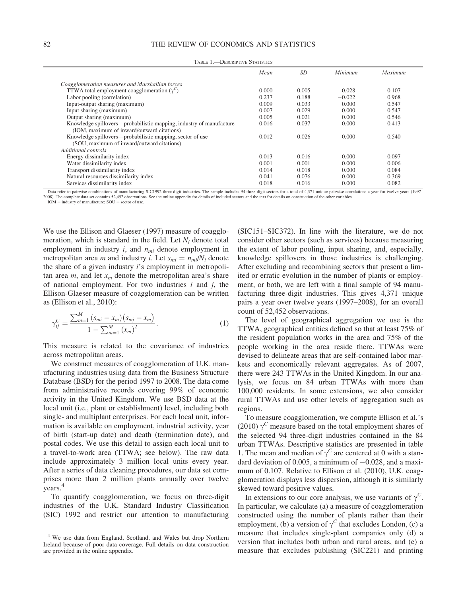|                                                                     | Mean  | <i>SD</i> | Minimum  | Maximum |
|---------------------------------------------------------------------|-------|-----------|----------|---------|
| Coagglomeration measures and Marshallian forces                     |       |           |          |         |
| TTWA total employment coagglomeration $(\gamma^C)$                  | 0.000 | 0.005     | $-0.028$ | 0.107   |
| Labor pooling (correlation)                                         | 0.237 | 0.188     | $-0.022$ | 0.968   |
| Input-output sharing (maximum)                                      | 0.009 | 0.033     | 0.000    | 0.547   |
| Input sharing (maximum)                                             | 0.007 | 0.029     | 0.000    | 0.547   |
| Output sharing (maximum)                                            | 0.005 | 0.021     | 0.000    | 0.546   |
| Knowledge spillovers—probabilistic mapping, industry of manufacture | 0.016 | 0.037     | 0.000    | 0.413   |
| (IOM, maximum of inward/outward citations)                          |       |           |          |         |
| Knowledge spillovers—probabilistic mapping, sector of use           | 0.012 | 0.026     | 0.000    | 0.540   |
| (SOU, maximum of inward/outward citations)                          |       |           |          |         |
| Additional controls                                                 |       |           |          |         |
| Energy dissimilarity index                                          | 0.013 | 0.016     | 0.000    | 0.097   |
| Water dissimilarity index                                           | 0.001 | 0.001     | 0.000    | 0.006   |
| Transport dissimilarity index                                       | 0.014 | 0.018     | 0.000    | 0.084   |
| Natural resources dissimilarity index                               | 0.041 | 0.076     | 0.000    | 0.369   |
| Services dissimilarity index                                        | 0.018 | 0.016     | 0.000    | 0.082   |

TABLE 1.—DESCRIPTIVE STATISTICS

Data refer to pairwise combinations of manufacturing SIC1992 three-digit industries. The sample includes 94 three-digit sectors for a total of 4,371 unique pairwise correlations a year for twelve years (1997– 2008). The complete data set contains 52,452 observations. See the online appendix for details of included sectors and the text for details on construction of the other variables.  $IOM =$  industry of manufacture:  $SOL =$  sector of use.

We use the Ellison and Glaeser (1997) measure of coagglomeration, which is standard in the field. Let  $N_i$  denote total employment in industry  $i$ , and  $n<sub>mi</sub>$  denote employment in metropolitan area m and industry *i*. Let  $s_{mi} = n_{mi}/N_i$  denote the share of a given industry i's employment in metropolitan area  $m$ , and let  $x_m$  denote the metropolitan area's share of national employment. For two industries  $i$  and  $j$ , the Ellison-Glaeser measure of coagglomeration can be written as (Ellison et al., 2010):

$$
\gamma_{ij}^C = \frac{\sum_{m=1}^M (s_{mi} - x_m)(s_{mj} - x_m)}{1 - \sum_{m=1}^M (x_m)^2}.
$$
\n(1)

This measure is related to the covariance of industries across metropolitan areas.

We construct measures of coagglomeration of U.K. manufacturing industries using data from the Business Structure Database (BSD) for the period 1997 to 2008. The data come from administrative records covering 99% of economic activity in the United Kingdom. We use BSD data at the local unit (i.e., plant or establishment) level, including both single- and multiplant enterprises. For each local unit, information is available on employment, industrial activity, year of birth (start-up date) and death (termination date), and postal codes. We use this detail to assign each local unit to a travel-to-work area (TTWA; see below). The raw data include approximately 3 million local units every year. After a series of data cleaning procedures, our data set comprises more than 2 million plants annually over twelve years.<sup>4</sup>

To quantify coagglomeration, we focus on three-digit industries of the U.K. Standard Industry Classification (SIC) 1992 and restrict our attention to manufacturing (SIC151–SIC372). In line with the literature, we do not consider other sectors (such as services) because measuring the extent of labor pooling, input sharing, and, especially, knowledge spillovers in those industries is challenging. After excluding and recombining sectors that present a limited or erratic evolution in the number of plants or employment, or both, we are left with a final sample of 94 manufacturing three-digit industries. This gives 4,371 unique pairs a year over twelve years (1997–2008), for an overall count of 52,452 observations.

The level of geographical aggregation we use is the TTWA, geographical entities defined so that at least 75% of the resident population works in the area and 75% of the people working in the area reside there. TTWAs were devised to delineate areas that are self-contained labor markets and economically relevant aggregates. As of 2007, there were 243 TTWAs in the United Kingdom. In our analysis, we focus on 84 urban TTWAs with more than 100,000 residents. In some extensions, we also consider rural TTWAs and use other levels of aggregation such as regions.

To measure coagglomeration, we compute Ellison et al.'s (2010)  $\gamma^C$  measure based on the total employment shares of the selected 94 three-digit industries contained in the 84 urban TTWAs. Descriptive statistics are presented in table 1. The mean and median of  $\gamma^C$  are centered at 0 with a standard deviation of  $0.005$ , a minimum of  $-0.028$ , and a maximum of 0.107. Relative to Ellison et al. (2010), U.K. coagglomeration displays less dispersion, although it is similarly skewed toward positive values.

In extensions to our core analysis, we use variants of  $\gamma^C$ . In particular, we calculate (a) a measure of coagglomeration constructed using the number of plants rather than their employment, (b) a version of  $\gamma^C$  that excludes London, (c) a measure that includes single-plant companies only (d) a version that includes both urban and rural areas, and (e) a measure that excludes publishing (SIC221) and printing

<sup>4</sup> We use data from England, Scotland, and Wales but drop Northern Ireland because of poor data coverage. Full details on data construction are provided in the online appendix.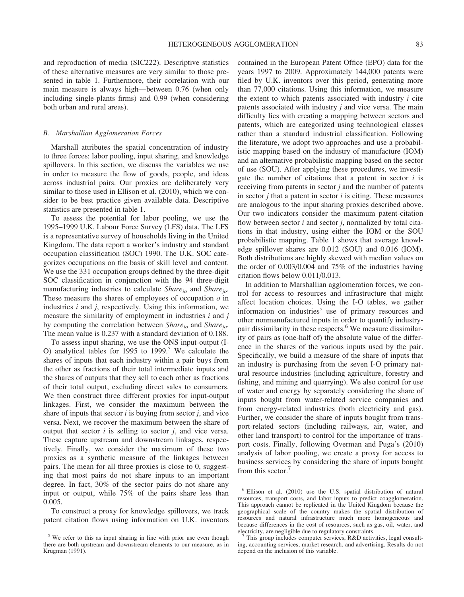and reproduction of media (SIC222). Descriptive statistics of these alternative measures are very similar to those presented in table 1. Furthermore, their correlation with our main measure is always high—between 0.76 (when only including single-plants firms) and 0.99 (when considering both urban and rural areas).

#### B. Marshallian Agglomeration Forces

Marshall attributes the spatial concentration of industry to three forces: labor pooling, input sharing, and knowledge spillovers. In this section, we discuss the variables we use in order to measure the flow of goods, people, and ideas across industrial pairs. Our proxies are deliberately very similar to those used in Ellison et al. (2010), which we consider to be best practice given available data. Descriptive statistics are presented in table 1.

To assess the potential for labor pooling, we use the 1995–1999 U.K. Labour Force Survey (LFS) data. The LFS is a representative survey of households living in the United Kingdom. The data report a worker's industry and standard occupation classification (SOC) 1990. The U.K. SOC categorizes occupations on the basis of skill level and content. We use the 331 occupation groups defined by the three-digit SOC classification in conjunction with the 94 three-digit manufacturing industries to calculate  $Share_{io}$  and  $Share_{io}$ . These measure the shares of employees of occupation  $\rho$  in industries  $i$  and  $j$ , respectively. Using this information, we measure the similarity of employment in industries  $i$  and  $j$ by computing the correlation between  $Share_{io}$  and  $Share_{io}$ . The mean value is 0.237 with a standard deviation of 0.188.

To assess input sharing, we use the ONS input-output (I-O) analytical tables for 1995 to 1999.<sup>5</sup> We calculate the shares of inputs that each industry within a pair buys from the other as fractions of their total intermediate inputs and the shares of outputs that they sell to each other as fractions of their total output, excluding direct sales to consumers. We then construct three different proxies for input-output linkages. First, we consider the maximum between the share of inputs that sector  $i$  is buying from sector  $j$ , and vice versa. Next, we recover the maximum between the share of output that sector  $i$  is selling to sector  $j$ , and vice versa. These capture upstream and downstream linkages, respectively. Finally, we consider the maximum of these two proxies as a synthetic measure of the linkages between pairs. The mean for all three proxies is close to 0, suggesting that most pairs do not share inputs to an important degree. In fact, 30% of the sector pairs do not share any input or output, while 75% of the pairs share less than 0.005.

To construct a proxy for knowledge spillovers, we track patent citation flows using information on U.K. inventors contained in the European Patent Office (EPO) data for the years 1997 to 2009. Approximately 144,000 patents were filed by U.K. inventors over this period, generating more than 77,000 citations. Using this information, we measure the extent to which patents associated with industry  $i$  cite patents associated with industry j and vice versa. The main difficulty lies with creating a mapping between sectors and patents, which are categorized using technological classes rather than a standard industrial classification. Following the literature, we adopt two approaches and use a probabilistic mapping based on the industry of manufacture (IOM) and an alternative probabilistic mapping based on the sector of use (SOU). After applying these procedures, we investigate the number of citations that a patent in sector  $i$  is receiving from patents in sector  $j$  and the number of patents in sector  $i$  that a patent in sector  $i$  is citing. These measures are analogous to the input sharing proxies described above. Our two indicators consider the maximum patent-citation flow between sector  $i$  and sector  $j$ , normalized by total citations in that industry, using either the IOM or the SOU probabilistic mapping. Table 1 shows that average knowledge spillover shares are 0.012 (SOU) and 0.016 (IOM). Both distributions are highly skewed with median values on the order of 0.003/0.004 and 75% of the industries having citation flows below 0.011/0.013.

In addition to Marshallian agglomeration forces, we control for access to resources and infrastructure that might affect location choices. Using the I-O tables, we gather information on industries' use of primary resources and other nonmanufactured inputs in order to quantify industrypair dissimilarity in these respects.<sup>6</sup> We measure dissimilarity of pairs as (one-half of) the absolute value of the difference in the shares of the various inputs used by the pair. Specifically, we build a measure of the share of inputs that an industry is purchasing from the seven I-O primary natural resource industries (including agriculture, forestry and fishing, and mining and quarrying). We also control for use of water and energy by separately considering the share of inputs bought from water-related service companies and from energy-related industries (both electricity and gas). Further, we consider the share of inputs bought from transport-related sectors (including railways, air, water, and other land transport) to control for the importance of transport costs. Finally, following Overman and Puga's (2010) analysis of labor pooling, we create a proxy for access to business services by considering the share of inputs bought from this sector.<sup>7</sup>

<sup>&</sup>lt;sup>5</sup> We refer to this as input sharing in line with prior use even though there are both upstream and downstream elements to our measure, as in Krugman (1991).

 $6$  Ellison et al. (2010) use the U.S. spatial distribution of natural resources, transport costs, and labor inputs to predict coagglomeration. This approach cannot be replicated in the United Kingdom because the geographical scale of the country makes the spatial distribution of resources and natural infrastructure much more homogeneous and because differences in the cost of resources, such as gas, oil, water, and

This group includes computer services, R&D activities, legal consulting, accounting services, market research, and advertising. Results do not depend on the inclusion of this variable.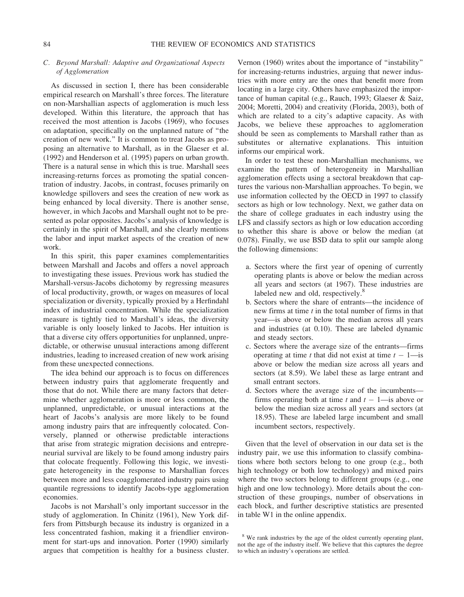#### C. Beyond Marshall: Adaptive and Organizational Aspects of Agglomeration

As discussed in section I, there has been considerable empirical research on Marshall's three forces. The literature on non-Marshallian aspects of agglomeration is much less developed. Within this literature, the approach that has received the most attention is Jacobs (1969), who focuses on adaptation, specifically on the unplanned nature of ''the creation of new work.'' It is common to treat Jacobs as proposing an alternative to Marshall, as in the Glaeser et al. (1992) and Henderson et al. (1995) papers on urban growth. There is a natural sense in which this is true. Marshall sees increasing-returns forces as promoting the spatial concentration of industry. Jacobs, in contrast, focuses primarily on knowledge spillovers and sees the creation of new work as being enhanced by local diversity. There is another sense, however, in which Jacobs and Marshall ought not to be presented as polar opposites. Jacobs's analysis of knowledge is certainly in the spirit of Marshall, and she clearly mentions the labor and input market aspects of the creation of new work.

In this spirit, this paper examines complementarities between Marshall and Jacobs and offers a novel approach to investigating these issues. Previous work has studied the Marshall-versus-Jacobs dichotomy by regressing measures of local productivity, growth, or wages on measures of local specialization or diversity, typically proxied by a Herfindahl index of industrial concentration. While the specialization measure is tightly tied to Marshall's ideas, the diversity variable is only loosely linked to Jacobs. Her intuition is that a diverse city offers opportunities for unplanned, unpredictable, or otherwise unusual interactions among different industries, leading to increased creation of new work arising from these unexpected connections.

The idea behind our approach is to focus on differences between industry pairs that agglomerate frequently and those that do not. While there are many factors that determine whether agglomeration is more or less common, the unplanned, unpredictable, or unusual interactions at the heart of Jacobs's analysis are more likely to be found among industry pairs that are infrequently colocated. Conversely, planned or otherwise predictable interactions that arise from strategic migration decisions and entrepreneurial survival are likely to be found among industry pairs that colocate frequently. Following this logic, we investigate heterogeneity in the response to Marshallian forces between more and less coagglomerated industry pairs using quantile regressions to identify Jacobs-type agglomeration economies.

Jacobs is not Marshall's only important successor in the study of agglomeration. In Chinitz (1961), New York differs from Pittsburgh because its industry is organized in a less concentrated fashion, making it a friendlier environment for start-ups and innovation. Porter (1990) similarly argues that competition is healthy for a business cluster.

Vernon (1960) writes about the importance of ''instability'' for increasing-returns industries, arguing that newer industries with more entry are the ones that benefit more from locating in a large city. Others have emphasized the importance of human capital (e.g., Rauch, 1993; Glaeser & Saiz, 2004; Moretti, 2004) and creativity (Florida, 2003), both of which are related to a city's adaptive capacity. As with Jacobs, we believe these approaches to agglomeration should be seen as complements to Marshall rather than as substitutes or alternative explanations. This intuition informs our empirical work.

In order to test these non-Marshallian mechanisms, we examine the pattern of heterogeneity in Marshallian agglomeration effects using a sectoral breakdown that captures the various non-Marshallian approaches. To begin, we use information collected by the OECD in 1997 to classify sectors as high or low technology. Next, we gather data on the share of college graduates in each industry using the LFS and classify sectors as high or low education according to whether this share is above or below the median (at 0.078). Finally, we use BSD data to split our sample along the following dimensions:

- a. Sectors where the first year of opening of currently operating plants is above or below the median across all years and sectors (at 1967). These industries are labeled new and old, respectively.<sup>8</sup>
- b. Sectors where the share of entrants—the incidence of new firms at time  $t$  in the total number of firms in that year—is above or below the median across all years and industries (at 0.10). These are labeled dynamic and steady sectors.
- c. Sectors where the average size of the entrants—firms operating at time t that did not exist at time  $t - 1$ —is above or below the median size across all years and sectors (at 8.59). We label these as large entrant and small entrant sectors.
- d. Sectors where the average size of the incumbents firms operating both at time t and  $t - 1$ —is above or below the median size across all years and sectors (at 18.95). These are labeled large incumbent and small incumbent sectors, respectively.

Given that the level of observation in our data set is the industry pair, we use this information to classify combinations where both sectors belong to one group (e.g., both high technology or both low technology) and mixed pairs where the two sectors belong to different groups (e.g., one high and one low technology). More details about the construction of these groupings, number of observations in each block, and further descriptive statistics are presented in table W1 in the online appendix.

<sup>&</sup>lt;sup>8</sup> We rank industries by the age of the oldest currently operating plant, not the age of the industry itself. We believe that this captures the degree to which an industry's operations are settled.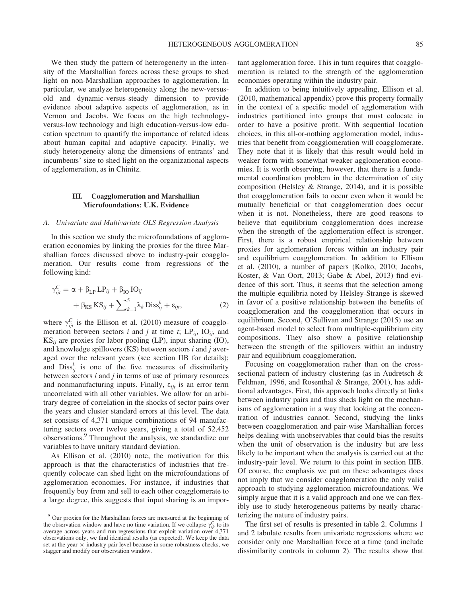We then study the pattern of heterogeneity in the intensity of the Marshallian forces across these groups to shed light on non-Marshallian approaches to agglomeration. In particular, we analyze heterogeneity along the new-versusold and dynamic-versus-steady dimension to provide evidence about adaptive aspects of agglomeration, as in Vernon and Jacobs. We focus on the high technologyversus-low technology and high education-versus-low education spectrum to quantify the importance of related ideas about human capital and adaptive capacity. Finally, we study heterogeneity along the dimensions of entrants' and incumbents' size to shed light on the organizational aspects of agglomeration, as in Chinitz.

#### III. Coagglomeration and Marshallian Microfoundations: U.K. Evidence

#### A. Univariate and Multivariate OLS Regression Analysis

In this section we study the microfoundations of agglomeration economies by linking the proxies for the three Marshallian forces discussed above to industry-pair coagglomeration. Our results come from regressions of the following kind:

$$
\gamma_{ijt}^C = \alpha + \beta_{LP} LP_{ij} + \beta_{IO} IO_{ij}
$$
  
+  $\beta_{KS} KS_{ij} + \sum_{k=1}^5 \lambda_k Diss_{ij}^k + \varepsilon_{ijt},$  (2)

where  $\gamma_{ijt}^C$  is the Ellison et al. (2010) measure of coagglomeration between sectors i and j at time t;  $LP_{ii}$ ,  $IO_{ii}$ , and  $KS_{ii}$  are proxies for labor pooling (LP), input sharing (IO), and knowledge spillovers  $(KS)$  between sectors  $i$  and  $j$  averaged over the relevant years (see section IIB for details); and  $\text{Diss}_{ij}^k$  is one of the five measures of dissimilarity between sectors  $i$  and  $j$  in terms of use of primary resources and nonmanufacturing inputs. Finally,  $\varepsilon_{ijt}$  is an error term uncorrelated with all other variables. We allow for an arbitrary degree of correlation in the shocks of sector pairs over the years and cluster standard errors at this level. The data set consists of 4,371 unique combinations of 94 manufacturing sectors over twelve years, giving a total of 52,452 observations.9 Throughout the analysis, we standardize our variables to have unitary standard deviation.

As Ellison et al. (2010) note, the motivation for this approach is that the characteristics of industries that frequently colocate can shed light on the microfoundations of agglomeration economies. For instance, if industries that frequently buy from and sell to each other coagglomerate to a large degree, this suggests that input sharing is an important agglomeration force. This in turn requires that coagglomeration is related to the strength of the agglomeration economies operating within the industry pair.

In addition to being intuitively appealing, Ellison et al. (2010, mathematical appendix) prove this property formally in the context of a specific model of agglomeration with industries partitioned into groups that must colocate in order to have a positive profit. With sequential location choices, in this all-or-nothing agglomeration model, industries that benefit from coagglomeration will coagglomerate. They note that it is likely that this result would hold in weaker form with somewhat weaker agglomeration economies. It is worth observing, however, that there is a fundamental coordination problem in the determination of city composition (Helsley & Strange, 2014), and it is possible that coagglomeration fails to occur even when it would be mutually beneficial or that coagglomeration does occur when it is not. Nonetheless, there are good reasons to believe that equilibrium coagglomeration does increase when the strength of the agglomeration effect is stronger. First, there is a robust empirical relationship between proxies for agglomeration forces within an industry pair and equilibrium coagglomeration. In addition to Ellison et al. (2010), a number of papers (Kolko, 2010; Jacobs, Koster, & Van Oort, 2013; Gabe & Abel, 2013) find evidence of this sort. Thus, it seems that the selection among the multiple equilibria noted by Helsley-Strange is skewed in favor of a positive relationship between the benefits of coagglomeration and the coagglomeration that occurs in equilibrium. Second, O'Sullivan and Strange (2015) use an agent-based model to select from multiple-equilibrium city compositions. They also show a positive relationship between the strength of the spillovers within an industry pair and equilibrium coagglomeration.

Focusing on coagglomeration rather than on the crosssectional pattern of industry clustering (as in Audretsch & Feldman, 1996, and Rosenthal & Strange, 2001), has additional advantages. First, this approach looks directly at links between industry pairs and thus sheds light on the mechanisms of agglomeration in a way that looking at the concentration of industries cannot. Second, studying the links between coagglomeration and pair-wise Marshallian forces helps dealing with unobservables that could bias the results when the unit of observation is the industry but are less likely to be important when the analysis is carried out at the industry-pair level. We return to this point in section IIIB. Of course, the emphasis we put on these advantages does not imply that we consider coagglomeration the only valid approach to studying agglomeration microfoundations. We simply argue that it is a valid approach and one we can flexibly use to study heterogeneous patterns by neatly characterizing the nature of industry pairs.

The first set of results is presented in table 2. Columns 1 and 2 tabulate results from univariate regressions where we consider only one Marshallian force at a time (and include dissimilarity controls in column 2). The results show that

<sup>9</sup> Our proxies for the Marshallian forces are measured at the beginning of the observation window and have no time variation. If we collapse  $\gamma_{ijt}^C$  to its average across years and run regressions that exploit variation over 4,371 observations only, we find identical results (as expected). We keep the data set at the year  $\times$  industry-pair level because in some robustness checks, we stagger and modify our observation window.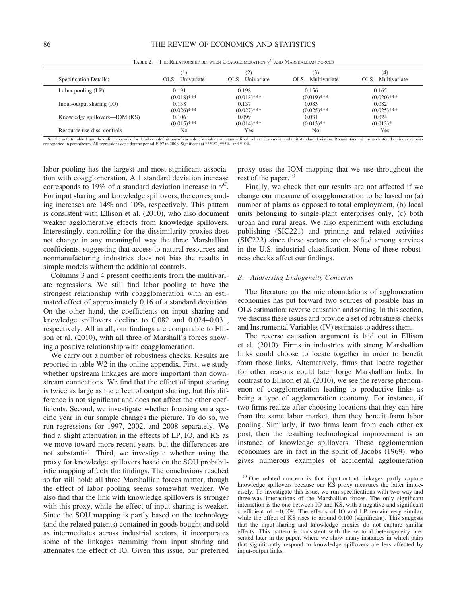| Specification Details:        | OLS—Univariate | 21<br>OLS—Univariate | (3)<br>OLS—Multivariate | (4)<br>OLS—Multivariate |
|-------------------------------|----------------|----------------------|-------------------------|-------------------------|
| Labor pooling (LP)            | 0.191          | 0.198                | 0.156                   | 0.165                   |
|                               | $(0.018)$ ***  | $(0.018)$ ***        | $(0.019)$ ***           | $(0.020)$ ***           |
| Input-output sharing (IO)     | 0.138          | 0.137                | 0.083                   | 0.082                   |
|                               | $(0.026)$ ***  | $(0.027)$ ***        | $(0.025)$ ***           | $(0.025)$ ***           |
| Knowledge spillovers—IOM (KS) | 0.106          | 0.099                | 0.031                   | 0.024                   |
|                               | $(0.015)$ ***  | $(0.014)$ ***        | $(0.013)$ **            | $(0.013)*$              |
| Resource use diss. controls   | No             | Yes                  | No                      | Yes                     |

TABLE 2.—THE RELATIONSHIP BETWEEN COAGGLOMERATION  $\gamma^C$  and Marshallian Forces

See the note to table 1 and the online appendix for details on definitions of variables. Variables are standardized to have zero mean and unit standard deviation. Robust standard errors clustered on industry pairs are reported in parentheses. All regressions consider the period 1997 to 2008. Significant at \*\*\*1%, \*\*5%, and \*10%.

labor pooling has the largest and most significant association with coagglomeration. A 1 standard deviation increase corresponds to 19% of a standard deviation increase in  $\gamma^C$ . For input sharing and knowledge spillovers, the corresponding increases are 14% and 10%, respectively. This pattern is consistent with Ellison et al. (2010), who also document weaker agglomerative effects from knowledge spillovers. Interestingly, controlling for the dissimilarity proxies does not change in any meaningful way the three Marshallian coefficients, suggesting that access to natural resources and nonmanufacturing industries does not bias the results in simple models without the additional controls.

Columns 3 and 4 present coefficients from the multivariate regressions. We still find labor pooling to have the strongest relationship with coagglomeration with an estimated effect of approximately 0.16 of a standard deviation. On the other hand, the coefficients on input sharing and knowledge spillovers decline to 0.082 and 0.024–0.031, respectively. All in all, our findings are comparable to Ellison et al. (2010), with all three of Marshall's forces showing a positive relationship with coagglomeration.

We carry out a number of robustness checks. Results are reported in table W2 in the online appendix. First, we study whether upstream linkages are more important than downstream connections. We find that the effect of input sharing is twice as large as the effect of output sharing, but this difference is not significant and does not affect the other coefficients. Second, we investigate whether focusing on a specific year in our sample changes the picture. To do so, we run regressions for 1997, 2002, and 2008 separately. We find a slight attenuation in the effects of LP, IO, and KS as we move toward more recent years, but the differences are not substantial. Third, we investigate whether using the proxy for knowledge spillovers based on the SOU probabilistic mapping affects the findings. The conclusions reached so far still hold: all three Marshallian forces matter, though the effect of labor pooling seems somewhat weaker. We also find that the link with knowledge spillovers is stronger with this proxy, while the effect of input sharing is weaker. Since the SOU mapping is partly based on the technology (and the related patents) contained in goods bought and sold as intermediates across industrial sectors, it incorporates some of the linkages stemming from input sharing and attenuates the effect of IO. Given this issue, our preferred

proxy uses the IOM mapping that we use throughout the rest of the paper.<sup>10</sup>

Finally, we check that our results are not affected if we change our measure of coagglomeration to be based on (a) number of plants as opposed to total employment, (b) local units belonging to single-plant enterprises only, (c) both urban and rural areas. We also experiment with excluding publishing (SIC221) and printing and related activities (SIC222) since these sectors are classified among services in the U.S. industrial classification. None of these robustness checks affect our findings.

#### B. Addressing Endogeneity Concerns

The literature on the microfoundations of agglomeration economies has put forward two sources of possible bias in OLS estimation: reverse causation and sorting. In this section, we discuss these issues and provide a set of robustness checks and Instrumental Variables (IV) estimates to address them.

The reverse causation argument is laid out in Ellison et al. (2010). Firms in industries with strong Marshallian links could choose to locate together in order to benefit from those links. Alternatively, firms that locate together for other reasons could later forge Marshallian links. In contrast to Ellison et al. (2010), we see the reverse phenomenon of coagglomeration leading to productive links as being a type of agglomeration economy. For instance, if two firms realize after choosing locations that they can hire from the same labor market, then they benefit from labor pooling. Similarly, if two firms learn from each other ex post, then the resulting technological improvement is an instance of knowledge spillovers. These agglomeration economies are in fact in the spirit of Jacobs (1969), who gives numerous examples of accidental agglomeration

<sup>&</sup>lt;sup>10</sup> One related concern is that input-output linkages partly capture knowledge spillovers because our KS proxy measures the latter imprecisely. To investigate this issue, we run specifications with two-way and three-way interactions of the Marshallian forces. The only significant interaction is the one between IO and KS, with a negative and significant coefficient of  $-0.009$ . The effects of IO and LP remain very similar, while the effect of KS rises to around 0.100 (significant). This suggests that the input-sharing and knowledge proxies do not capture similar effects. This pattern is consistent with the sectoral heterogeneity presented later in the paper, where we show many instances in which pairs that significantly respond to knowledge spillovers are less affected by input-output links.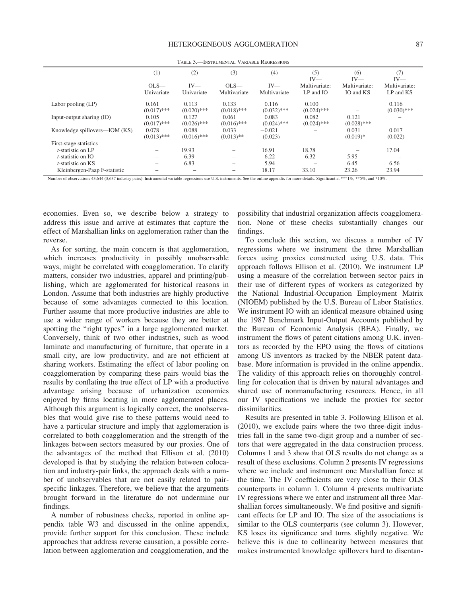|                               | (1)                    | (2)                    | (3)                      | (4)                    | (5)<br>$IV-$               | (6)<br>$IV-$               | (7)<br>$IV-$               |
|-------------------------------|------------------------|------------------------|--------------------------|------------------------|----------------------------|----------------------------|----------------------------|
|                               | $OLS-$<br>Univariate   | $IV-$<br>Univariate    | $OLS-$<br>Multivariate   | $IV-$<br>Multivariate  | Multivariate:<br>LP and IO | Multivariate:<br>IO and KS | Multivariate:<br>LP and KS |
| Labor pooling (LP)            | 0.161<br>$(0.017)$ *** | 0.113<br>$(0.020)$ *** | 0.133<br>$(0.018)$ ***   | 0.116<br>$(0.032)$ *** | 0.100<br>$(0.024)$ ***     |                            | 0.116<br>$(0.030)$ ***     |
| Input-output sharing (IO)     | 0.105<br>$(0.017)$ *** | 0.127<br>$(0.026)$ *** | 0.061<br>$(0.016)$ ***   | 0.083<br>$(0.024)$ *** | 0.082<br>$(0.024)$ ***     | 0.121<br>$(0.028)$ ***     |                            |
| Knowledge spillovers—IOM (KS) | 0.078<br>$(0.013)$ *** | 0.088<br>$(0.016)$ *** | 0.033<br>$(0.013)$ **    | $-0.021$<br>(0.023)    |                            | 0.031<br>$(0.019)*$        | 0.017<br>(0.022)           |
| First-stage statistics        |                        |                        |                          |                        |                            |                            |                            |
| $t$ -statistic on LP          |                        | 19.93                  | -                        | 16.91                  | 18.78                      |                            | 17.04                      |
| $t$ -statistic on IO          |                        | 6.39                   | $\overline{\phantom{0}}$ | 6.22                   | 6.32                       | 5.95                       |                            |
| <i>t</i> -statistic on KS     |                        | 6.83                   | -                        | 5.94                   |                            | 6.45                       | 6.56                       |
| Kleinbergen-Paap F-statistic  |                        |                        |                          | 18.17                  | 33.10                      | 23.26                      | 23.94                      |

TABLE 3.—INSTRUMENTAL VARIABLE REGRESSIONS

Number of observations 43,644 (3,637 industry pairs). Instrumental variable regressions use U.S. instruments. See the online appendix for more details. Significant at \*\*\*1%, \*\*5%, and \*10%.

economies. Even so, we describe below a strategy to address this issue and arrive at estimates that capture the effect of Marshallian links on agglomeration rather than the reverse.

As for sorting, the main concern is that agglomeration, which increases productivity in possibly unobservable ways, might be correlated with coagglomeration. To clarify matters, consider two industries, apparel and printing/publishing, which are agglomerated for historical reasons in London. Assume that both industries are highly productive because of some advantages connected to this location. Further assume that more productive industries are able to use a wider range of workers because they are better at spotting the "right types" in a large agglomerated market. Conversely, think of two other industries, such as wood laminate and manufacturing of furniture, that operate in a small city, are low productivity, and are not efficient at sharing workers. Estimating the effect of labor pooling on coagglomeration by comparing these pairs would bias the results by conflating the true effect of LP with a productive advantage arising because of urbanization economies enjoyed by firms locating in more agglomerated places. Although this argument is logically correct, the unobservables that would give rise to these patterns would need to have a particular structure and imply that agglomeration is correlated to both coagglomeration and the strength of the linkages between sectors measured by our proxies. One of the advantages of the method that Ellison et al. (2010) developed is that by studying the relation between colocation and industry-pair links, the approach deals with a number of unobservables that are not easily related to pairspecific linkages. Therefore, we believe that the arguments brought forward in the literature do not undermine our findings.

A number of robustness checks, reported in online appendix table W3 and discussed in the online appendix, provide further support for this conclusion. These include approaches that address reverse causation, a possible correlation between agglomeration and coagglomeration, and the

possibility that industrial organization affects coagglomeration. None of these checks substantially changes our findings.

To conclude this section, we discuss a number of IV regressions where we instrument the three Marshallian forces using proxies constructed using U.S. data. This approach follows Ellison et al. (2010). We instrument LP using a measure of the correlation between sector pairs in their use of different types of workers as categorized by the National Industrial-Occupation Employment Matrix (NIOEM) published by the U.S. Bureau of Labor Statistics. We instrument IO with an identical measure obtained using the 1987 Benchmark Input-Output Accounts published by the Bureau of Economic Analysis (BEA). Finally, we instrument the flows of patent citations among U.K. inventors as recorded by the EPO using the flows of citations among US inventors as tracked by the NBER patent database. More information is provided in the online appendix. The validity of this approach relies on thoroughly controlling for colocation that is driven by natural advantages and shared use of nonmanufacturing resources. Hence, in all our IV specifications we include the proxies for sector dissimilarities.

Results are presented in table 3. Following Ellison et al. (2010), we exclude pairs where the two three-digit industries fall in the same two-digit group and a number of sectors that were aggregated in the data construction process. Columns 1 and 3 show that OLS results do not change as a result of these exclusions. Column 2 presents IV regressions where we include and instrument one Marshallian force at the time. The IV coefficients are very close to their OLS counterparts in column 1. Column 4 presents multivariate IV regressions where we enter and instrument all three Marshallian forces simultaneously. We find positive and significant effects for LP and IO. The size of the associations is similar to the OLS counterparts (see column 3). However, KS loses its significance and turns slightly negative. We believe this is due to collinearity between measures that makes instrumented knowledge spillovers hard to disentan-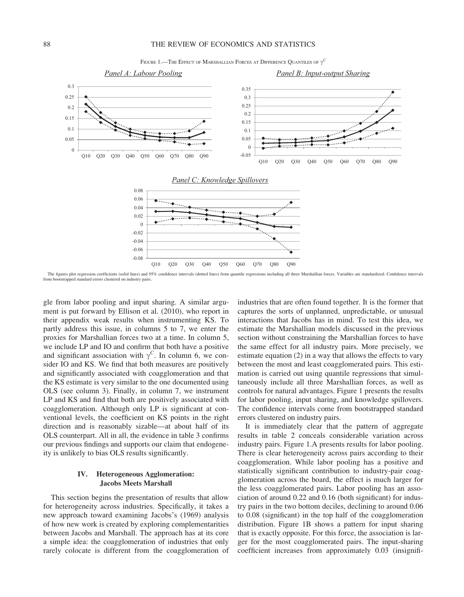#### 88 THE REVIEW OF ECONOMICS AND STATISTICS





The figures plot regression coefficients (solid lines) and 95% confidence intervals (dotted lines) from quantile regressions including all three Marshallian forces. Variables are standardized. Confidence intervals from bootstrapped standard errors clustered on industry pairs.

gle from labor pooling and input sharing. A similar argument is put forward by Ellison et al. (2010), who report in their appendix weak results when instrumenting KS. To partly address this issue, in columns 5 to 7, we enter the proxies for Marshallian forces two at a time. In column 5, we include LP and IO and confirm that both have a positive and significant association with  $\gamma^C$ . In column 6, we consider IO and KS. We find that both measures are positively and significantly associated with coagglomeration and that the KS estimate is very similar to the one documented using OLS (see column 3). Finally, in column 7, we instrument LP and KS and find that both are positively associated with coagglomeration. Although only LP is significant at conventional levels, the coefficient on KS points in the right direction and is reasonably sizable—at about half of its OLS counterpart. All in all, the evidence in table 3 confirms our previous findings and supports our claim that endogeneity is unlikely to bias OLS results significantly.

#### IV. Heterogeneous Agglomeration: Jacobs Meets Marshall

This section begins the presentation of results that allow for heterogeneity across industries. Specifically, it takes a new approach toward examining Jacobs's (1969) analysis of how new work is created by exploring complementarities between Jacobs and Marshall. The approach has at its core a simple idea: the coagglomeration of industries that only rarely colocate is different from the coagglomeration of

industries that are often found together. It is the former that captures the sorts of unplanned, unpredictable, or unusual interactions that Jacobs has in mind. To test this idea, we estimate the Marshallian models discussed in the previous section without constraining the Marshallian forces to have the same effect for all industry pairs. More precisely, we estimate equation (2) in a way that allows the effects to vary between the most and least coagglomerated pairs. This estimation is carried out using quantile regressions that simultaneously include all three Marshallian forces, as well as controls for natural advantages. Figure 1 presents the results for labor pooling, input sharing, and knowledge spillovers. The confidence intervals come from bootstrapped standard errors clustered on industry pairs.

It is immediately clear that the pattern of aggregate results in table 2 conceals considerable variation across industry pairs. Figure 1.A presents results for labor pooling. There is clear heterogeneity across pairs according to their coagglomeration. While labor pooling has a positive and statistically significant contribution to industry-pair coagglomeration across the board, the effect is much larger for the less coagglomerated pairs. Labor pooling has an association of around 0.22 and 0.16 (both significant) for industry pairs in the two bottom deciles, declining to around 0.06 to 0.08 (significant) in the top half of the coagglomeration distribution. Figure 1B shows a pattern for input sharing that is exactly opposite. For this force, the association is larger for the most coagglomerated pairs. The input-sharing coefficient increases from approximately 0.03 (insignifi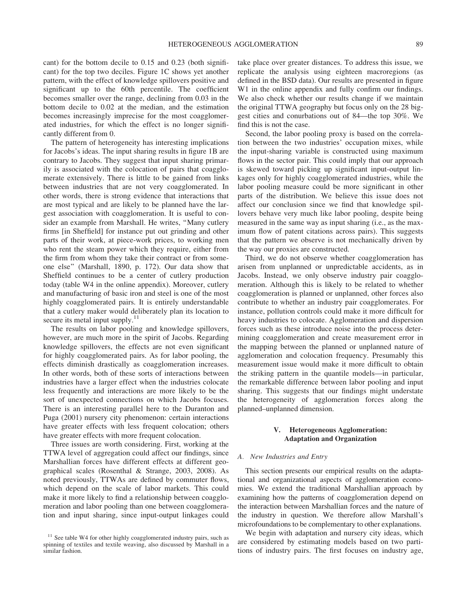cant) for the bottom decile to 0.15 and 0.23 (both significant) for the top two deciles. Figure 1C shows yet another pattern, with the effect of knowledge spillovers positive and significant up to the 60th percentile. The coefficient becomes smaller over the range, declining from 0.03 in the bottom decile to 0.02 at the median, and the estimation becomes increasingly imprecise for the most coagglomerated industries, for which the effect is no longer significantly different from 0.

The pattern of heterogeneity has interesting implications for Jacobs's ideas. The input sharing results in figure 1B are contrary to Jacobs. They suggest that input sharing primarily is associated with the colocation of pairs that coagglomerate extensively. There is little to be gained from links between industries that are not very coagglomerated. In other words, there is strong evidence that interactions that are most typical and are likely to be planned have the largest association with coagglomeration. It is useful to consider an example from Marshall. He writes, "Many cutlery firms [in Sheffield] for instance put out grinding and other parts of their work, at piece-work prices, to working men who rent the steam power which they require, either from the firm from whom they take their contract or from someone else'' (Marshall, 1890, p. 172). Our data show that Sheffield continues to be a center of cutlery production today (table W4 in the online appendix). Moreover, cutlery and manufacturing of basic iron and steel is one of the most highly coagglomerated pairs. It is entirely understandable that a cutlery maker would deliberately plan its location to secure its metal input supply.<sup>11</sup>

The results on labor pooling and knowledge spillovers, however, are much more in the spirit of Jacobs. Regarding knowledge spillovers, the effects are not even significant for highly coagglomerated pairs. As for labor pooling, the effects diminish drastically as coagglomeration increases. In other words, both of these sorts of interactions between industries have a larger effect when the industries colocate less frequently and interactions are more likely to be the sort of unexpected connections on which Jacobs focuses. There is an interesting parallel here to the Duranton and Puga (2001) nursery city phenomenon: certain interactions have greater effects with less frequent colocation; others have greater effects with more frequent colocation.

Three issues are worth considering. First, working at the TTWA level of aggregation could affect our findings, since Marshallian forces have different effects at different geographical scales (Rosenthal & Strange, 2003, 2008). As noted previously, TTWAs are defined by commuter flows, which depend on the scale of labor markets. This could make it more likely to find a relationship between coagglomeration and labor pooling than one between coagglomeration and input sharing, since input-output linkages could take place over greater distances. To address this issue, we replicate the analysis using eighteen macroregions (as defined in the BSD data). Our results are presented in figure W<sub>1</sub> in the online appendix and fully confirm our findings. We also check whether our results change if we maintain the original TTWA geography but focus only on the 28 biggest cities and conurbations out of 84—the top 30%. We find this is not the case.

Second, the labor pooling proxy is based on the correlation between the two industries' occupation mixes, while the input-sharing variable is constructed using maximum flows in the sector pair. This could imply that our approach is skewed toward picking up significant input-output linkages only for highly coagglomerated industries, while the labor pooling measure could be more significant in other parts of the distribution. We believe this issue does not affect our conclusion since we find that knowledge spillovers behave very much like labor pooling, despite being measured in the same way as input sharing (i.e., as the maximum flow of patent citations across pairs). This suggests that the pattern we observe is not mechanically driven by the way our proxies are constructed.

Third, we do not observe whether coagglomeration has arisen from unplanned or unpredictable accidents, as in Jacobs. Instead, we only observe industry pair coagglomeration. Although this is likely to be related to whether coagglomeration is planned or unplanned, other forces also contribute to whether an industry pair coagglomerates. For instance, pollution controls could make it more difficult for heavy industries to colocate. Agglomeration and dispersion forces such as these introduce noise into the process determining coagglomeration and create measurement error in the mapping between the planned or unplanned nature of agglomeration and colocation frequency. Presumably this measurement issue would make it more difficult to obtain the striking pattern in the quantile models—in particular, the remarkable difference between labor pooling and input sharing. This suggests that our findings might understate the heterogeneity of agglomeration forces along the planned–unplanned dimension.

#### V. Heterogeneous Agglomeration: Adaptation and Organization

#### A. New Industries and Entry

This section presents our empirical results on the adaptational and organizational aspects of agglomeration economies. We extend the traditional Marshallian approach by examining how the patterns of coagglomeration depend on the interaction between Marshallian forces and the nature of the industry in question. We therefore allow Marshall's microfoundations to be complementary to other explanations.

We begin with adaptation and nursery city ideas, which are considered by estimating models based on two partitions of industry pairs. The first focuses on industry age,

 $11$  See table W4 for other highly coagglomerated industry pairs, such as spinning of textiles and textile weaving, also discussed by Marshall in a similar fashion.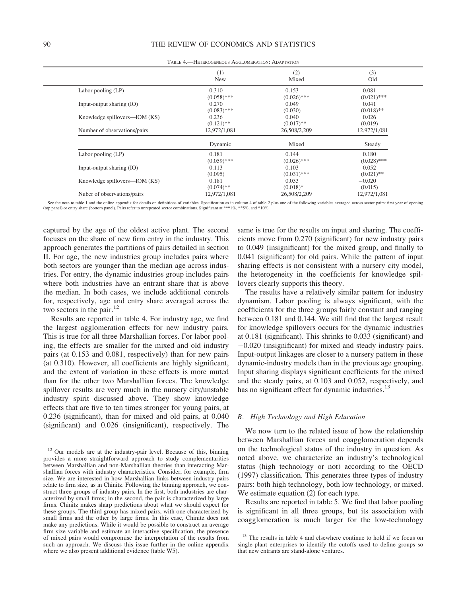|                               | (1)<br>New    | (2)<br>Mixed  | (3)<br>Old    |
|-------------------------------|---------------|---------------|---------------|
| Labor pooling (LP)            | 0.310         | 0.153         | 0.081         |
|                               | $(0.058)$ *** | $(0.026)$ *** | $(0.021)$ *** |
| Input-output sharing (IO)     | 0.270         | 0.049         | 0.041         |
|                               | $(0.083)$ *** | (0.030)       | $(0.018)$ **  |
| Knowledge spillovers—IOM (KS) | 0.236         | 0.040         | 0.026         |
|                               | $(0.121)$ **  | $(0.017)$ **  | (0.019)       |
| Number of observations/pairs  | 12,972/1,081  | 26,508/2,209  | 12,972/1,081  |
|                               | Dynamic       | Mixed         | Steady        |
| Labor pooling (LP)            | 0.181         | 0.144         | 0.180         |
|                               | $(0.059)$ *** | $(0.026)$ *** | $(0.028)$ *** |
| Input-output sharing (IO)     | 0.113         | 0.103         | 0.052         |
|                               | (0.095)       | $(0.031)$ *** | $(0.021)$ **  |
| Knowledge spillovers—IOM (KS) | 0.181         | 0.033         | $-0.020$      |
|                               | $(0.074)$ **  | $(0.018)*$    | (0.015)       |
| Nuber of observations/pairs   | 12,972/1,081  | 26,508/2,209  | 12,972/1,081  |

TABLE 4.—HETEROGENEOUS AGGLOMERATION: ADAPTATION

See the note to table 1 and the online appendix for details on definitions of variables. Specification as in column 4 of table 2 plus one of the following variables averaged across sector pairs: first year of opening (top panel) or entry share (bottom panel). Pairs refer to unrepeated sector combinations. Significant at \*\*\*1%, \*\*5%, and \*10%.

captured by the age of the oldest active plant. The second focuses on the share of new firm entry in the industry. This approach generates the partitions of pairs detailed in section II. For age, the new industries group includes pairs where both sectors are younger than the median age across industries. For entry, the dynamic industries group includes pairs where both industries have an entrant share that is above the median. In both cases, we include additional controls for, respectively, age and entry share averaged across the two sectors in the pair.<sup>12</sup>

Results are reported in table 4. For industry age, we find the largest agglomeration effects for new industry pairs. This is true for all three Marshallian forces. For labor pooling, the effects are smaller for the mixed and old industry pairs (at 0.153 and 0.081, respectively) than for new pairs (at 0.310). However, all coefficients are highly significant, and the extent of variation in these effects is more muted than for the other two Marshallian forces. The knowledge spillover results are very much in the nursery city/unstable industry spirit discussed above. They show knowledge effects that are five to ten times stronger for young pairs, at 0.236 (significant), than for mixed and old pairs, at 0.040 (significant) and 0.026 (insignificant), respectively. The

same is true for the results on input and sharing. The coefficients move from 0.270 (significant) for new industry pairs to 0.049 (insignificant) for the mixed group, and finally to 0.041 (significant) for old pairs. While the pattern of input sharing effects is not consistent with a nursery city model, the heterogeneity in the coefficients for knowledge spillovers clearly supports this theory.

The results have a relatively similar pattern for industry dynamism. Labor pooling is always significant, with the coefficients for the three groups fairly constant and ranging between 0.181 and 0.144. We still find that the largest result for knowledge spillovers occurs for the dynamic industries at 0.181 (significant). This shrinks to 0.033 (significant) and -0.020 (insignificant) for mixed and steady industry pairs. Input-output linkages are closer to a nursery pattern in these dynamic-industry models than in the previous age grouping. Input sharing displays significant coefficients for the mixed and the steady pairs, at 0.103 and 0.052, respectively, and has no significant effect for dynamic industries.<sup>13</sup>

#### B. High Technology and High Education

We now turn to the related issue of how the relationship between Marshallian forces and coagglomeration depends on the technological status of the industry in question. As noted above, we characterize an industry's technological status (high technology or not) according to the OECD (1997) classification. This generates three types of industry pairs: both high technology, both low technology, or mixed. We estimate equation (2) for each type.

Results are reported in table 5. We find that labor pooling is significant in all three groups, but its association with coagglomeration is much larger for the low-technology

 $=$ 

<sup>&</sup>lt;sup>12</sup> Our models are at the industry-pair level. Because of this, binning provides a more straightforward approach to study complementarities between Marshallian and non-Marshallian theories than interacting Marshallian forces with industry characteristics. Consider, for example, firm size. We are interested in how Marshallian links between industry pairs relate to firm size, as in Chinitz. Following the binning approach, we construct three groups of industry pairs. In the first, both industries are characterized by small firms; in the second, the pair is characterized by large firms. Chinitz makes sharp predictions about what we should expect for these groups. The third group has mixed pairs, with one characterized by small firms and the other by large firms. In this case, Chinitz does not make any predictions. While it would be possible to construct an average firm size variable and estimate an interactive specification, the presence of mixed pairs would compromise the interpretation of the results from such an approach. We discuss this issue further in the online appendix where we also present additional evidence (table W5).

<sup>&</sup>lt;sup>13</sup> The results in table 4 and elsewhere continue to hold if we focus on single-plant enterprises to identify the cutoffs used to define groups so that new entrants are stand-alone ventures.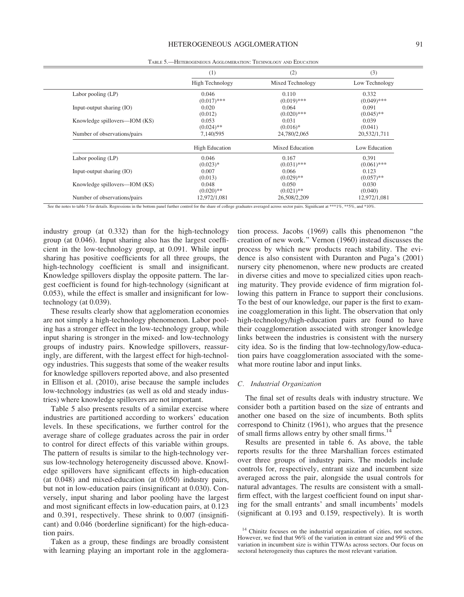|                               | (1)                    | (2)              | (3)            |  |
|-------------------------------|------------------------|------------------|----------------|--|
|                               | <b>High Technology</b> | Mixed Technology | Low Technology |  |
| Labor pooling (LP)            | 0.046                  | 0.110            | 0.332          |  |
|                               | $(0.017)$ ***          | $(0.019)$ ***    | $(0.049)$ ***  |  |
| Input-output sharing (IO)     | 0.020                  | 0.064            | 0.091          |  |
|                               | (0.012)                | $(0.020)$ ***    | $(0.045)$ **   |  |
| Knowledge spillovers—IOM (KS) | 0.053                  | 0.031            | 0.039          |  |
|                               | $(0.024)$ **           | $(0.016)*$       | (0.041)        |  |
| Number of observations/pairs  | 7,140/595              | 24,780/2,065     | 20,532/1,711   |  |
|                               | <b>High Education</b>  | Mixed Education  | Low Education  |  |
| Labor pooling $(LP)$          | 0.046                  | 0.167            | 0.391          |  |
|                               | $(0.023)*$             | $(0.031)$ ***    | $(0.061)$ ***  |  |
| Input-output sharing (IO)     | 0.007                  | 0.066            | 0.123          |  |
|                               | (0.013)                | $(0.029)$ **     | $(0.057)$ **   |  |
| Knowledge spillovers—IOM (KS) | 0.048                  | 0.050            | 0.030          |  |
|                               | $(0.020)$ **           | $(0.021)$ **     | (0.040)        |  |
| Number of observations/pairs  | 12,972/1,081           | 26,508/2,209     | 12,972/1,081   |  |

TABLE 5.—HETEROGENEOUS AGGLOMERATION: TECHNOLOGY AND EDUCATION

See the notes to table 5 for details. Regressions in the bottom panel further control for the share of college graduates averaged across sector pairs. Significant at \*\*\*1%, \*\*5%, and \*10%.

industry group (at 0.332) than for the high-technology group (at 0.046). Input sharing also has the largest coefficient in the low-technology group, at 0.091. While input sharing has positive coefficients for all three groups, the high-technology coefficient is small and insignificant. Knowledge spillovers display the opposite pattern. The largest coefficient is found for high-technology (significant at 0.053), while the effect is smaller and insignificant for lowtechnology (at 0.039).

These results clearly show that agglomeration economies are not simply a high-technology phenomenon. Labor pooling has a stronger effect in the low-technology group, while input sharing is stronger in the mixed- and low-technology groups of industry pairs. Knowledge spillovers, reassuringly, are different, with the largest effect for high-technology industries. This suggests that some of the weaker results for knowledge spillovers reported above, and also presented in Ellison et al. (2010), arise because the sample includes low-technology industries (as well as old and steady industries) where knowledge spillovers are not important.

Table 5 also presents results of a similar exercise where industries are partitioned according to workers' education levels. In these specifications, we further control for the average share of college graduates across the pair in order to control for direct effects of this variable within groups. The pattern of results is similar to the high-technology versus low-technology heterogeneity discussed above. Knowledge spillovers have significant effects in high-education (at 0.048) and mixed-education (at 0.050) industry pairs, but not in low-education pairs (insignificant at 0.030). Conversely, input sharing and labor pooling have the largest and most significant effects in low-education pairs, at 0.123 and 0.391, respectively. These shrink to 0.007 (insignificant) and 0.046 (borderline significant) for the high-education pairs.

Taken as a group, these findings are broadly consistent with learning playing an important role in the agglomera-

tion process. Jacobs (1969) calls this phenomenon ''the creation of new work.'' Vernon (1960) instead discusses the process by which new products reach stability. The evidence is also consistent with Duranton and Puga's (2001) nursery city phenomenon, where new products are created in diverse cities and move to specialized cities upon reaching maturity. They provide evidence of firm migration following this pattern in France to support their conclusions. To the best of our knowledge, our paper is the first to examine coagglomeration in this light. The observation that only high-technology/high-education pairs are found to have their coagglomeration associated with stronger knowledge links between the industries is consistent with the nursery city idea. So is the finding that low-technology/low-education pairs have coagglomeration associated with the somewhat more routine labor and input links.

#### C. Industrial Organization

The final set of results deals with industry structure. We consider both a partition based on the size of entrants and another one based on the size of incumbents. Both splits correspond to Chinitz (1961), who argues that the presence of small firms allows entry by other small firms.<sup>14</sup>

Results are presented in table 6. As above, the table reports results for the three Marshallian forces estimated over three groups of industry pairs. The models include controls for, respectively, entrant size and incumbent size averaged across the pair, alongside the usual controls for natural advantages. The results are consistent with a smallfirm effect, with the largest coefficient found on input sharing for the small entrants' and small incumbents' models (significant at 0.193 and 0.159, respectively). It is worth

<sup>&</sup>lt;sup>14</sup> Chinitz focuses on the industrial organization of cities, not sectors. However, we find that 96% of the variation in entrant size and 99% of the variation in incumbent size is within TTWAs across sectors. Our focus on sectoral heterogeneity thus captures the most relevant variation.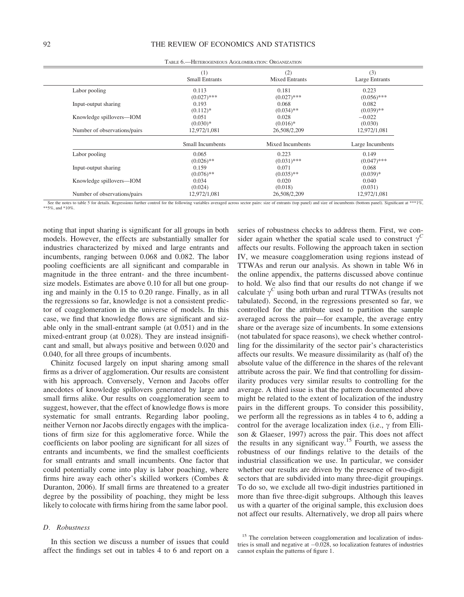|                              | (1)<br><b>Small Entrants</b> | (2)<br><b>Mixed Entrants</b> | (3)<br>Large Entrants |
|------------------------------|------------------------------|------------------------------|-----------------------|
| Labor pooling                | 0.113                        | 0.181                        | 0.223                 |
|                              | $(0.027)$ ***                | $(0.027)$ ***                | $(0.056)$ ***         |
| Input-output sharing         | 0.193                        | 0.068                        | 0.082                 |
|                              | $(0.112)*$                   | $(0.034)$ **                 | $(0.039)$ **          |
| Knowledge spillovers-IOM     | 0.051                        | 0.028                        | $-0.022$              |
|                              | $(0.030)*$                   | $(0.016)*$                   | (0.030)               |
| Number of observations/pairs | 12,972/1,081                 | 26,508/2,209                 | 12,972/1,081          |
|                              | Small Incumbents             | Mixed Incumbents             | Large Incumbents      |
| Labor pooling                | 0.065                        | 0.223                        | 0.149                 |
|                              | $(0.026)$ **                 | $(0.031)$ ***                | $(0.047)$ ***         |
| Input-output sharing         | 0.159                        | 0.071                        | 0.068                 |
|                              | $(0.076)$ **                 | $(0.035)$ **                 | $(0.039)*$            |
| Knowledge spillovers-IOM     | 0.034                        | 0.020                        | 0.040                 |
|                              | (0.024)                      | (0.018)                      | (0.031)               |
| Number of observations/pairs | 12,972/1,081                 | 26,508/2,209                 | 12,972/1,081          |

TABLE 6.—HETEROGENEOUS AGGLOMERATION: ORGANIZATION

See the notes to table 5 for details. Regressions further control for the following variables averaged across sector pairs: size of entrants (top panel) and size of incumbents (bottom panel). Significant at \*\*\*1%, \*\*5%, and \*10%.

noting that input sharing is significant for all groups in both models. However, the effects are substantially smaller for industries characterized by mixed and large entrants and incumbents, ranging between 0.068 and 0.082. The labor pooling coefficients are all significant and comparable in magnitude in the three entrant- and the three incumbentsize models. Estimates are above 0.10 for all but one grouping and mainly in the 0.15 to 0.20 range. Finally, as in all the regressions so far, knowledge is not a consistent predictor of coagglomeration in the universe of models. In this case, we find that knowledge flows are significant and sizable only in the small-entrant sample (at 0.051) and in the mixed-entrant group (at 0.028). They are instead insignificant and small, but always positive and between 0.020 and 0.040, for all three groups of incumbents.

Chinitz focused largely on input sharing among small firms as a driver of agglomeration. Our results are consistent with his approach. Conversely, Vernon and Jacobs offer anecdotes of knowledge spillovers generated by large and small firms alike. Our results on coagglomeration seem to suggest, however, that the effect of knowledge flows is more systematic for small entrants. Regarding labor pooling, neither Vernon nor Jacobs directly engages with the implications of firm size for this agglomerative force. While the coefficients on labor pooling are significant for all sizes of entrants and incumbents, we find the smallest coefficients for small entrants and small incumbents. One factor that could potentially come into play is labor poaching, where firms hire away each other's skilled workers (Combes & Duranton, 2006). If small firms are threatened to a greater degree by the possibility of poaching, they might be less likely to colocate with firms hiring from the same labor pool.

#### D. Robustness

In this section we discuss a number of issues that could affect the findings set out in tables 4 to 6 and report on a

series of robustness checks to address them. First, we consider again whether the spatial scale used to construct  $\gamma^C$ affects our results. Following the approach taken in section IV, we measure coagglomeration using regions instead of TTWAs and rerun our analysis. As shown in table W6 in the online appendix, the patterns discussed above continue to hold. We also find that our results do not change if we calculate  $\gamma^C$  using both urban and rural TTWAs (results not tabulated). Second, in the regressions presented so far, we controlled for the attribute used to partition the sample averaged across the pair—for example, the average entry share or the average size of incumbents. In some extensions (not tabulated for space reasons), we check whether controlling for the dissimilarity of the sector pair's characteristics affects our results. We measure dissimilarity as (half of) the absolute value of the difference in the shares of the relevant attribute across the pair. We find that controlling for dissimilarity produces very similar results to controlling for the average. A third issue is that the pattern documented above might be related to the extent of localization of the industry pairs in the different groups. To consider this possibility, we perform all the regressions as in tables 4 to 6, adding a control for the average localization index (i.e.,  $\gamma$  from Ellison & Glaeser, 1997) across the pair. This does not affect the results in any significant way.<sup>15</sup> Fourth, we assess the robustness of our findings relative to the details of the industrial classification we use. In particular, we consider whether our results are driven by the presence of two-digit sectors that are subdivided into many three-digit groupings. To do so, we exclude all two-digit industries partitioned in more than five three-digit subgroups. Although this leaves us with a quarter of the original sample, this exclusion does not affect our results. Alternatively, we drop all pairs where

<sup>&</sup>lt;sup>15</sup> The correlation between coagglomeration and localization of industries is small and negative at  $-0.028$ , so localization features of industries cannot explain the patterns of figure 1.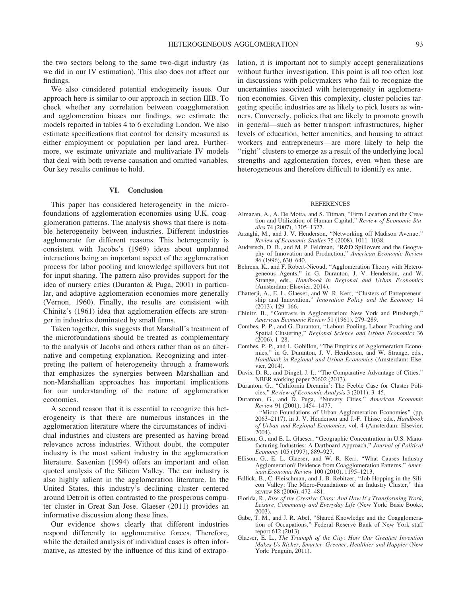the two sectors belong to the same two-digit industry (as we did in our IV estimation). This also does not affect our findings.

We also considered potential endogeneity issues. Our approach here is similar to our approach in section IIIB. To check whether any correlation between coagglomeration and agglomeration biases our findings, we estimate the models reported in tables 4 to 6 excluding London. We also estimate specifications that control for density measured as either employment or population per land area. Furthermore, we estimate univariate and multivariate IV models that deal with both reverse causation and omitted variables. Our key results continue to hold.

#### VI. Conclusion

This paper has considered heterogeneity in the microfoundations of agglomeration economies using U.K. coagglomeration patterns. The analysis shows that there is notable heterogeneity between industries. Different industries agglomerate for different reasons. This heterogeneity is consistent with Jacobs's (1969) ideas about unplanned interactions being an important aspect of the agglomeration process for labor pooling and knowledge spillovers but not for input sharing. The pattern also provides support for the idea of nursery cities (Duranton & Puga, 2001) in particular, and adaptive agglomeration economies more generally (Vernon, 1960). Finally, the results are consistent with Chinitz's (1961) idea that agglomeration effects are stronger in industries dominated by small firms.

Taken together, this suggests that Marshall's treatment of the microfoundations should be treated as complementary to the analysis of Jacobs and others rather than as an alternative and competing explanation. Recognizing and interpreting the pattern of heterogeneity through a framework that emphasizes the synergies between Marshallian and non-Marshallian approaches has important implications for our understanding of the nature of agglomeration economies.

A second reason that it is essential to recognize this heterogeneity is that there are numerous instances in the agglomeration literature where the circumstances of individual industries and clusters are presented as having broad relevance across industries. Without doubt, the computer industry is the most salient industry in the agglomeration literature. Saxenian (1994) offers an important and often quoted analysis of the Silicon Valley. The car industry is also highly salient in the agglomeration literature. In the United States, this industry's declining cluster centered around Detroit is often contrasted to the prosperous computer cluster in Great San Jose. Glaeser (2011) provides an informative discussion along these lines.

Our evidence shows clearly that different industries respond differently to agglomerative forces. Therefore, while the detailed analysis of individual cases is often informative, as attested by the influence of this kind of extrapolation, it is important not to simply accept generalizations without further investigation. This point is all too often lost in discussions with policymakers who fail to recognize the uncertainties associated with heterogeneity in agglomeration economies. Given this complexity, cluster policies targeting specific industries are as likely to pick losers as winners. Conversely, policies that are likely to promote growth in general—such as better transport infrastructures, higher levels of education, better amenities, and housing to attract workers and entrepreneurs—are more likely to help the "right" clusters to emerge as a result of the underlying local strengths and agglomeration forces, even when these are heterogeneous and therefore difficult to identify ex ante.

#### **REFERENCES**

- Almazan, A., A. De Motta, and S. Titman, "Firm Location and the Creation and Utilization of Human Capital,'' Review of Economic Studies 74 (2007), 1305–1327.
- Arzaghi, M., and J. V. Henderson, ''Networking off Madison Avenue,'' Review of Economic Studies 75 (2008), 1011–1038.
- Audretsch, D. B., and M. P. Feldman, ''R&D Spillovers and the Geography of Innovation and Production," American Economic Review 86 (1996), 630–640.
- Behrens, K., and F. Robert-Nicoud, ''Agglomeration Theory with Heterogeneous Agents,'' in G. Duranton, J. V. Henderson, and W. Strange, eds., Handbook in Regional and Urban Economics (Amsterdam: Elsevier, 2014).
- Chatterji, A., E. L. Glaeser, and W. R. Kerr, "Clusters of Entrepreneurship and Innovation," Innovation Policy and the Economy 14 (2013), 129–166.
- Chinitz, B., ''Contrasts in Agglomeration: New York and Pittsburgh,'' American Economic Review 51 (1961), 279–289.
- Combes, P.-P., and G. Duranton, ''Labour Pooling, Labour Poaching and Spatial Clustering," Regional Science and Urban Economics 36 (2006), 1–28.
- Combes, P.-P., and L. Gobillon, ''The Empirics of Agglomeration Economies,'' in G. Duranton, J. V. Henderson, and W. Strange, eds., Handbook in Regional and Urban Economics (Amsterdam: Elsevier, 2014).
- Davis, D. R., and Dingel, J. I., ''The Comparative Advantage of Cities,'' NBER working paper 20602 (2013).
- Duranton, G., "California Dreamin': The Feeble Case for Cluster Policies,'' Review of Economic Analysis 3 (2011), 3–45.
- Duranton, G., and D. Puga, ''Nursery Cities,'' American Economic Review 91 (2001), 1454–1477.
- ——— ''Micro-Foundations of Urban Agglomeration Economies'' (pp. 2063–2117), in J. V. Henderson and J.-F. Thisse, eds., Handbook of Urban and Regional Economics, vol. 4 (Amsterdam: Elsevier, 2004).
- Ellison, G., and E. L. Glaeser, ''Geographic Concentration in U.S. Manufacturing Industries: A Dartboard Approach,'' Journal of Political Economy 105 (1997), 889–927.
- Ellison, G., E. L. Glaeser, and W. R. Kerr, ''What Causes Industry Agglomeration? Evidence from Coagglomeration Patterns,'' American Economic Review 100 (2010), 1195–1213.
- Fallick, B., C. Fleischman, and J. B. Rebitzer, ''Job Hopping in the Silicon Valley: The Micro-Foundations of an Industry Cluster,'' this REVIEW 88 (2006), 472–481.
- Florida, R., Rise of the Creative Class: And How It's Transforming Work, Leisure, Community and Everyday Life (New York: Basic Books, 2003).
- Gabe, T. M., and J. R. Abel, ''Shared Knowledge and the Coagglomeration of Occupations,'' Federal Reserve Bank of New York staff report 612 (2013).
- Glaeser, E. L., The Triumph of the City: How Our Greatest Invention Makes Us Richer, Smarter, Greener, Healthier and Happier (New York: Penguin, 2011).